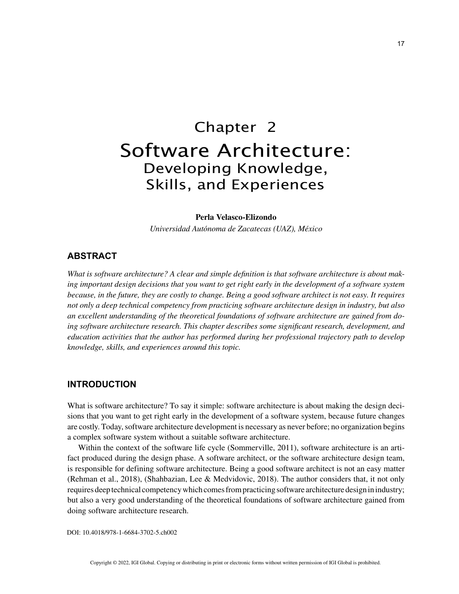# Chapter 2 Software Architecture: Developing Knowledge, Skills, and Experiences

#### **Perla Velasco-Elizondo**

*Universidad Autónoma de Zacatecas (UAZ), México*

#### **ABSTRACT**

*What is software architecture? A clear and simple definition is that software architecture is about making important design decisions that you want to get right early in the development of a software system because, in the future, they are costly to change. Being a good software architect is not easy. It requires not only a deep technical competency from practicing software architecture design in industry, but also an excellent understanding of the theoretical foundations of software architecture are gained from doing software architecture research. This chapter describes some significant research, development, and education activities that the author has performed during her professional trajectory path to develop knowledge, skills, and experiences around this topic.*

### **INTRODUCTION**

What is software architecture? To say it simple: software architecture is about making the design decisions that you want to get right early in the development of a software system, because future changes are costly. Today, software architecture development is necessary as never before; no organization begins a complex software system without a suitable software architecture.

Within the context of the software life cycle (Sommerville, 2011), software architecture is an artifact produced during the design phase. A software architect, or the software architecture design team, is responsible for defining software architecture. Being a good software architect is not an easy matter (Rehman et al., 2018), (Shahbazian, Lee & Medvidovic, 2018). The author considers that, it not only requires deep technical competency which comes from practicing software architecture design in industry; but also a very good understanding of the theoretical foundations of software architecture gained from doing software architecture research.

DOI: 10.4018/978-1-6684-3702-5.ch002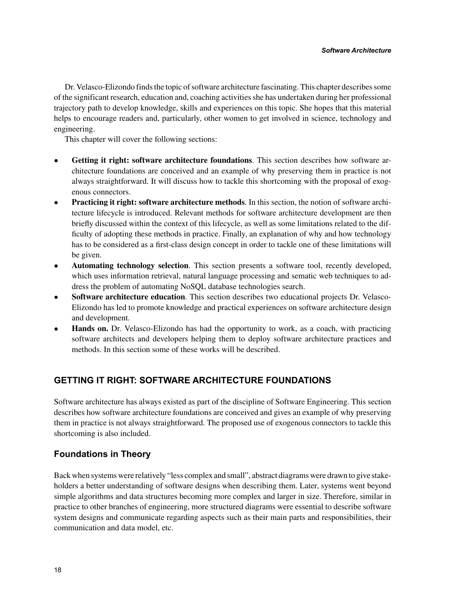Dr. Velasco-Elizondo finds the topic of software architecture fascinating. This chapter describes some of the significant research, education and, coaching activities she has undertaken during her professional trajectory path to develop knowledge, skills and experiences on this topic. She hopes that this material helps to encourage readers and, particularly, other women to get involved in science, technology and engineering.

This chapter will cover the following sections:

- **Getting it right: software architecture foundations**. This section describes how software architecture foundations are conceived and an example of why preserving them in practice is not always straightforward. It will discuss how to tackle this shortcoming with the proposal of exogenous connectors.
- **Practicing it right: software architecture methods**. In this section, the notion of software architecture lifecycle is introduced. Relevant methods for software architecture development are then briefly discussed within the context of this lifecycle, as well as some limitations related to the difficulty of adopting these methods in practice. Finally, an explanation of why and how technology has to be considered as a first-class design concept in order to tackle one of these limitations will be given.
- **Automating technology selection**. This section presents a software tool, recently developed, which uses information retrieval, natural language processing and sematic web techniques to address the problem of automating NoSQL database technologies search.
- **Software architecture education**. This section describes two educational projects Dr. Velasco-Elizondo has led to promote knowledge and practical experiences on software architecture design and development.
- **Hands on.** Dr. Velasco-Elizondo has had the opportunity to work, as a coach, with practicing software architects and developers helping them to deploy software architecture practices and methods. In this section some of these works will be described.

## **GETTING IT RIGHT: SOFTWARE ARCHITECTURE FOUNDATIONS**

Software architecture has always existed as part of the discipline of Software Engineering. This section describes how software architecture foundations are conceived and gives an example of why preserving them in practice is not always straightforward. The proposed use of exogenous connectors to tackle this shortcoming is also included.

## **Foundations in Theory**

Back when systems were relatively "less complex and small", abstract diagrams were drawn to give stakeholders a better understanding of software designs when describing them. Later, systems went beyond simple algorithms and data structures becoming more complex and larger in size. Therefore, similar in practice to other branches of engineering, more structured diagrams were essential to describe software system designs and communicate regarding aspects such as their main parts and responsibilities, their communication and data model, etc.